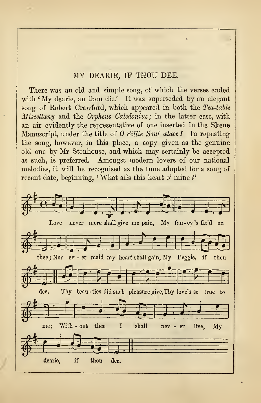## MY DEARIE, IF THOU DEE.

There was an old and simple song, of which the verses ended with 'My dearie, an thou die.' It was superseded by an elegant song of Robert Crawford, which appeared in both the Tea-table Miscellany and the Orpheus Caledonius; in the latter case, with an air evidently the representative of one inserted in the Skene Manuscript, under the title of  $O\textit{Sillie}\$  Soul alace ! In repeating the song, however, in this place, a copy given as the genuine old one by Mr Stenhouse, and which may certainly be accepted as such, is preferred. Amongst modern lovers of our national melodies, it will be recognised as the tune adopted for a song of recent date, beginning, 'What ails this heart o' mine ?'